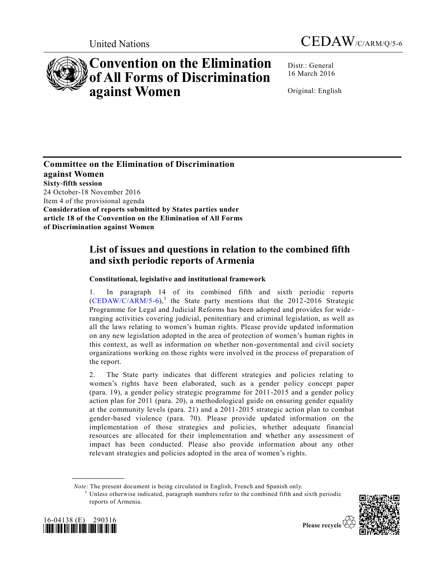



# **Convention on the Elimination of All Forms of Discrimination against Women**

Distr.: General 16 March 2016

Original: English

**Committee on the Elimination of Discrimination against Women Sixty-fifth session** 24 October-18 November 2016 Item 4 of the provisional agenda **Consideration of reports submitted by States parties under article 18 of the Convention on the Elimination of All Forms of Discrimination against Women**

## **List of issues and questions in relation to the combined fifth and sixth periodic reports of Armenia**

### **Constitutional, legislative and institutional framework**

1. In paragraph 14 of its combined fifth and sixth periodic reports  $(CEDAW/C/ARM/5-6)$ ,<sup>1</sup> the State party mentions that the 2012-2016 Strategic Programme for Legal and Judicial Reforms has been adopted and provides for wide ranging activities covering judicial, penitentiary and criminal legislation, as well as all the laws relating to women's human rights. Please provide updated information on any new legislation adopted in the area of protection of women's human rights in this context, as well as information on whether non-governmental and civil society organizations working on those rights were involved in the process of preparation of the report.

2. The State party indicates that different strategies and policies relating to women's rights have been elaborated, such as a gender policy concept paper (para. 19), a gender policy strategic programme for 2011-2015 and a gender policy action plan for 2011 (para. 20), a methodological guide on ensuring gender equality at the community levels (para. 21) and a 2011-2015 strategic action plan to combat gender-based violence (para. 70). Please provide updated information on the implementation of those strategies and policies, whether adequate financial resources are allocated for their implementation and whether any assessment of impact has been conducted. Please also provide information about any other relevant strategies and policies adopted in the area of women's rights.

*Note*: The present document is being circulated in English, French and Spanish only.

<sup>1</sup> Unless otherwise indicated, paragraph numbers refer to the combined fifth and sixth periodic reports of Armenia.





**\_\_\_\_\_\_\_\_\_\_\_\_\_\_\_\_\_\_**

Please recycle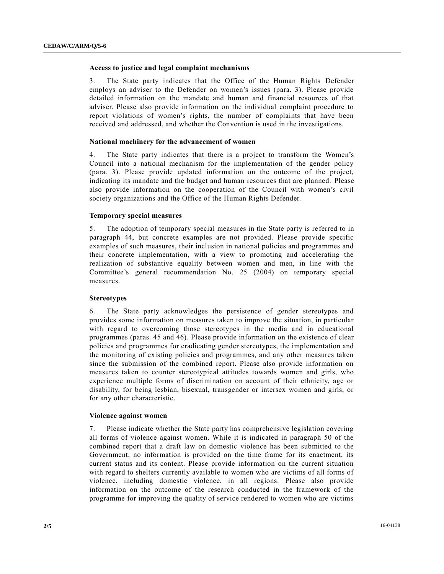#### **Access to justice and legal complaint mechanisms**

3. The State party indicates that the Office of the Human Rights Defender employs an adviser to the Defender on women's issues (para. 3). Please provide detailed information on the mandate and human and financial resources of that adviser. Please also provide information on the individual complaint procedure to report violations of women's rights, the number of complaints that have been received and addressed, and whether the Convention is used in the investigations.

#### **National machinery for the advancement of women**

4. The State party indicates that there is a project to transform the Women's Council into a national mechanism for the implementation of the gender policy (para. 3). Please provide updated information on the outcome of the project, indicating its mandate and the budget and human resources that are planned. Please also provide information on the cooperation of the Council with women's civil society organizations and the Office of the Human Rights Defender.

#### **Temporary special measures**

5. The adoption of temporary special measures in the State party is re ferred to in paragraph 44, but concrete examples are not provided. Please provide specific examples of such measures, their inclusion in national policies and programmes and their concrete implementation, with a view to promoting and accelerating the realization of substantive equality between women and men, in line with the Committee's general recommendation No. 25 (2004) on temporary special measures.

#### **Stereotypes**

6. The State party acknowledges the persistence of gender stereotypes and provides some information on measures taken to improve the situation, in particular with regard to overcoming those stereotypes in the media and in educational programmes (paras. 45 and 46). Please provide information on the existence of clear policies and programmes for eradicating gender stereotypes, the implementation and the monitoring of existing policies and programmes, and any other measures taken since the submission of the combined report. Please also provide information on measures taken to counter stereotypical attitudes towards women and girls, who experience multiple forms of discrimination on account of their ethnicity, age or disability, for being lesbian, bisexual, transgender or intersex women and girls, or for any other characteristic.

#### **Violence against women**

7. Please indicate whether the State party has comprehensive legislation covering all forms of violence against women. While it is indicated in paragraph 50 of the combined report that a draft law on domestic violence has been submitted to the Government, no information is provided on the time frame for its enactment, its current status and its content. Please provide information on the current situation with regard to shelters currently available to women who are victims of all forms of violence, including domestic violence, in all regions. Please also provide information on the outcome of the research conducted in the framework of the programme for improving the quality of service rendered to women who are victims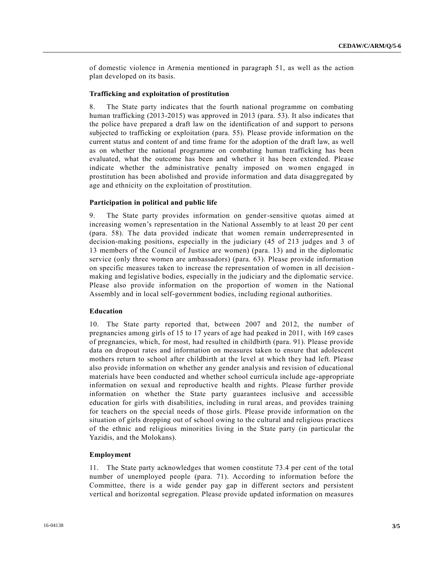of domestic violence in Armenia mentioned in paragraph 51, as well as the action plan developed on its basis.

#### **Trafficking and exploitation of prostitution**

8. The State party indicates that the fourth national programme on combating human trafficking (2013-2015) was approved in 2013 (para. 53). It also indicates that the police have prepared a draft law on the identification of and support to persons subjected to trafficking or exploitation (para. 55). Please provide information on the current status and content of and time frame for the adoption of the draft law, as well as on whether the national programme on combating human trafficking has been evaluated, what the outcome has been and whether it has been extended. Please indicate whether the administrative penalty imposed on women engaged in prostitution has been abolished and provide information and data disaggregated by age and ethnicity on the exploitation of prostitution.

#### **Participation in political and public life**

9. The State party provides information on gender-sensitive quotas aimed at increasing women's representation in the National Assembly to at least 20 per cent (para. 58). The data provided indicate that women remain underrepresented in decision-making positions, especially in the judiciary (45 of 213 judges and 3 of 13 members of the Council of Justice are women) (para. 13) and in the diplomatic service (only three women are ambassadors) (para. 63). Please provide information on specific measures taken to increase the representation of women in all decision making and legislative bodies, especially in the judiciary and the diplomatic service. Please also provide information on the proportion of women in the National Assembly and in local self-government bodies, including regional authorities.

#### **Education**

10. The State party reported that, between 2007 and 2012, the number of pregnancies among girls of 15 to 17 years of age had peaked in 2011, with 169 cases of pregnancies, which, for most, had resulted in childbirth (para. 91). Please provide data on dropout rates and information on measures taken to ensure that adolescent mothers return to school after childbirth at the level at which they had left. Please also provide information on whether any gender analysis and revision of educational materials have been conducted and whether school curricula include age-appropriate information on sexual and reproductive health and rights. Please further provide information on whether the State party guarantees inclusive and accessible education for girls with disabilities, including in rural areas, and provides training for teachers on the special needs of those girls. Please provide information on the situation of girls dropping out of school owing to the cultural and religious practices of the ethnic and religious minorities living in the State party (in particular the Yazidis, and the Molokans).

#### **Employment**

11. The State party acknowledges that women constitute 73.4 per cent of the total number of unemployed people (para. 71). According to information before the Committee, there is a wide gender pay gap in different sectors and persistent vertical and horizontal segregation. Please provide updated information on measures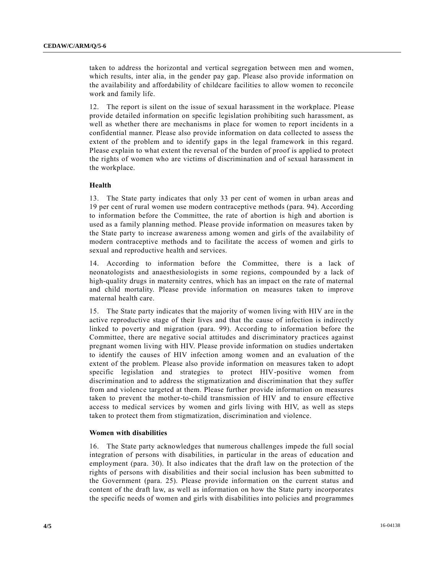taken to address the horizontal and vertical segregation between men and women, which results, inter alia, in the gender pay gap. Please also provide information on the availability and affordability of childcare facilities to allow women to reconcile work and family life.

12. The report is silent on the issue of sexual harassment in the workplace. Please provide detailed information on specific legislation prohibiting such harassment, as well as whether there are mechanisms in place for women to report incidents in a confidential manner. Please also provide information on data collected to assess the extent of the problem and to identify gaps in the legal framework in this regard. Please explain to what extent the reversal of the burden of proof is applied to protect the rights of women who are victims of discrimination and of sexual harassment in the workplace.

#### **Health**

13. The State party indicates that only 33 per cent of women in urban areas and 19 per cent of rural women use modern contraceptive methods (para. 94). According to information before the Committee, the rate of abortion is high and abortion is used as a family planning method. Please provide information on measures taken by the State party to increase awareness among women and girls of the availability of modern contraceptive methods and to facilitate the access of women and girls to sexual and reproductive health and services.

14. According to information before the Committee, there is a lack of neonatologists and anaesthesiologists in some regions, compounded by a lack of high-quality drugs in maternity centres, which has an impact on the rate of maternal and child mortality. Please provide information on measures taken to improve maternal health care.

15. The State party indicates that the majority of women living with HIV are in the active reproductive stage of their lives and that the cause of infection is indirectly linked to poverty and migration (para. 99). According to information before the Committee, there are negative social attitudes and discriminatory practices against pregnant women living with HIV. Please provide information on studies undertaken to identify the causes of HIV infection among women and an evaluation of the extent of the problem. Please also provide information on measures taken to adopt specific legislation and strategies to protect HIV-positive women from discrimination and to address the stigmatization and discrimination that they suffer from and violence targeted at them. Please further provide information on measures taken to prevent the mother-to-child transmission of HIV and to ensure effective access to medical services by women and girls living with HIV, as well as steps taken to protect them from stigmatization, discrimination and violence.

#### **Women with disabilities**

16. The State party acknowledges that numerous challenges impede the full social integration of persons with disabilities, in particular in the areas of education and employment (para. 30). It also indicates that the draft law on the protection of the rights of persons with disabilities and their social inclusion has been submitted to the Government (para. 25). Please provide information on the current status and content of the draft law, as well as information on how the State party incorporates the specific needs of women and girls with disabilities into policies and programmes